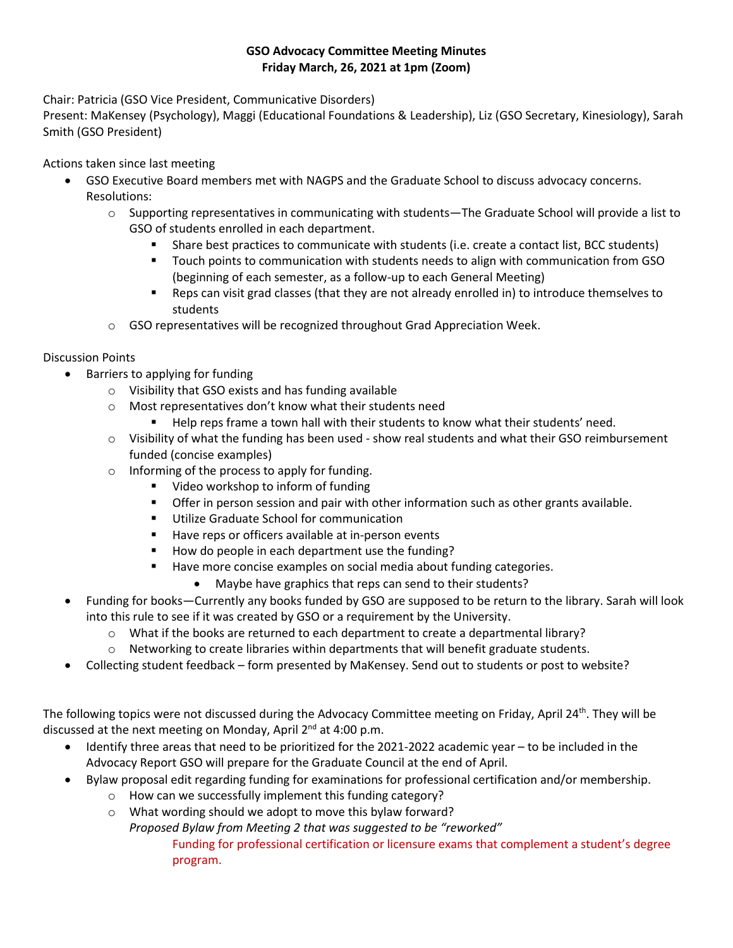## **GSO Advocacy Committee Meeting Minutes Friday March, 26, 2021 at 1pm (Zoom)**

Chair: Patricia (GSO Vice President, Communicative Disorders)

Present: MaKensey (Psychology), Maggi (Educational Foundations & Leadership), Liz (GSO Secretary, Kinesiology), Sarah Smith (GSO President)

Actions taken since last meeting

- GSO Executive Board members met with NAGPS and the Graduate School to discuss advocacy concerns. Resolutions:
	- o Supporting representatives in communicating with students—The Graduate School will provide a list to GSO of students enrolled in each department.
		- Share best practices to communicate with students (i.e. create a contact list, BCC students)
		- Touch points to communication with students needs to align with communication from GSO (beginning of each semester, as a follow-up to each General Meeting)
		- Reps can visit grad classes (that they are not already enrolled in) to introduce themselves to students
	- $\circ$  GSO representatives will be recognized throughout Grad Appreciation Week.

## Discussion Points

- Barriers to applying for funding
	- o Visibility that GSO exists and has funding available
	- o Most representatives don't know what their students need
		- Help reps frame a town hall with their students to know what their students' need.
	- $\circ$  Visibility of what the funding has been used show real students and what their GSO reimbursement funded (concise examples)
	- o Informing of the process to apply for funding.
		- Video workshop to inform of funding
		- **•** Offer in person session and pair with other information such as other grants available.
		- Utilize Graduate School for communication
		- Have reps or officers available at in-person events
		- How do people in each department use the funding?
		- Have more concise examples on social media about funding categories.
			- Maybe have graphics that reps can send to their students?
- Funding for books—Currently any books funded by GSO are supposed to be return to the library. Sarah will look into this rule to see if it was created by GSO or a requirement by the University.
	- $\circ$  What if the books are returned to each department to create a departmental library?
	- o Networking to create libraries within departments that will benefit graduate students.
- Collecting student feedback form presented by MaKensey. Send out to students or post to website?

The following topics were not discussed during the Advocacy Committee meeting on Friday, April 24<sup>th</sup>. They will be discussed at the next meeting on Monday, April 2<sup>nd</sup> at 4:00 p.m.

- Identify three areas that need to be prioritized for the 2021-2022 academic year to be included in the Advocacy Report GSO will prepare for the Graduate Council at the end of April.
- Bylaw proposal edit regarding funding for examinations for professional certification and/or membership.
	- o How can we successfully implement this funding category?
	- o What wording should we adopt to move this bylaw forward?

*Proposed Bylaw from Meeting 2 that was suggested to be "reworked"* Funding for professional certification or licensure exams that complement a student's degree program.